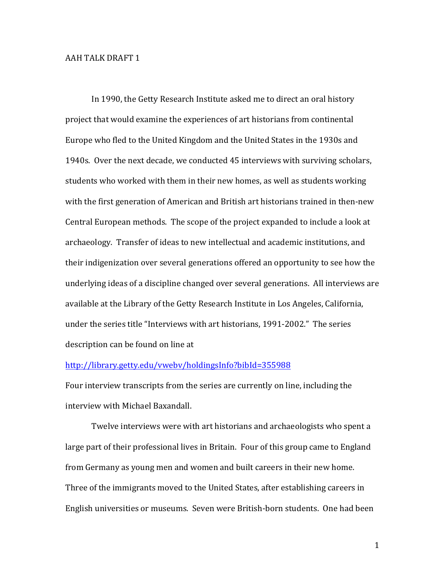## **AAH TALK DRAFT 1**

In 1990, the Getty Research Institute asked me to direct an oral history project that would examine the experiences of art historians from continental Europe who fled to the United Kingdom and the United States in the 1930s and 1940s. Over the next decade, we conducted 45 interviews with surviving scholars, students who worked with them in their new homes, as well as students working with the first generation of American and British art historians trained in then-new Central European methods. The scope of the project expanded to include a look at archaeology. Transfer of ideas to new intellectual and academic institutions, and their indigenization over several generations offered an opportunity to see how the underlying ideas of a discipline changed over several generations. All interviews are available at the Library of the Getty Research Institute in Los Angeles, California, under the series title "Interviews with art historians, 1991-2002." The series description can be found on line at

## http://library.getty.edu/vwebv/holdingsInfo?bibId=355988

Four interview transcripts from the series are currently on line, including the interview with Michael Baxandall.

Twelve interviews were with art historians and archaeologists who spent a large part of their professional lives in Britain. Four of this group came to England from Germany as young men and women and built careers in their new home. Three of the immigrants moved to the United States, after establishing careers in English universities or museums. Seven were British-born students. One had been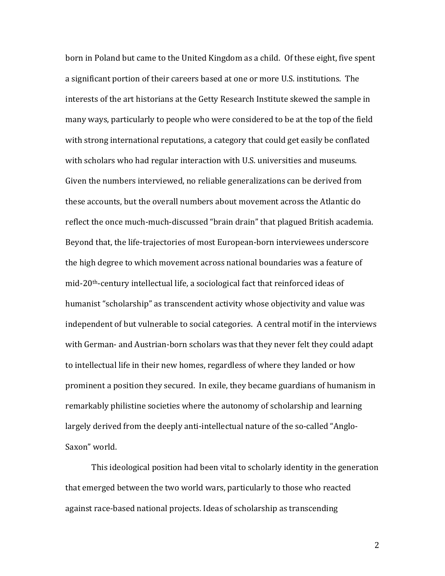born in Poland but came to the United Kingdom as a child. Of these eight, five spent a significant portion of their careers based at one or more U.S. institutions. The interests of the art historians at the Getty Research Institute skewed the sample in many ways, particularly to people who were considered to be at the top of the field with strong international reputations, a category that could get easily be conflated with scholars who had regular interaction with U.S. universities and museums. Given the numbers interviewed, no reliable generalizations can be derived from these accounts, but the overall numbers about movement across the Atlantic do reflect the once much-much-discussed "brain drain" that plagued British academia. Beyond that, the life-trajectories of most European-born interviewees underscore the high degree to which movement across national boundaries was a feature of  $mid-20<sup>th</sup>$ -century intellectual life, a sociological fact that reinforced ideas of humanist "scholarship" as transcendent activity whose objectivity and value was independent of but vulnerable to social categories. A central motif in the interviews with German- and Austrian-born scholars was that they never felt they could adapt to intellectual life in their new homes, regardless of where they landed or how prominent a position they secured. In exile, they became guardians of humanism in remarkably philistine societies where the autonomy of scholarship and learning largely derived from the deeply anti-intellectual nature of the so-called "Anglo-Saxon" world.

This ideological position had been vital to scholarly identity in the generation that emerged between the two world wars, particularly to those who reacted against race-based national projects. Ideas of scholarship as transcending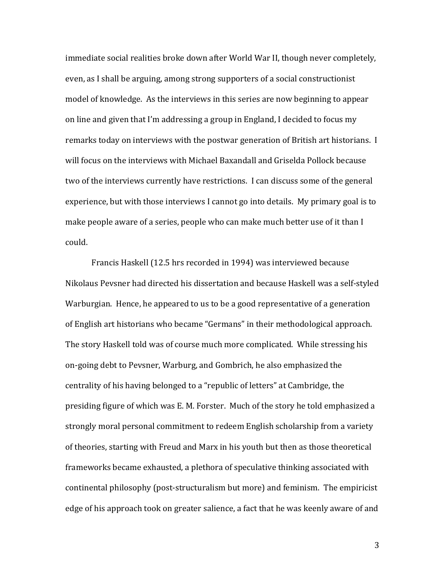immediate social realities broke down after World War II, though never completely, even, as I shall be arguing, among strong supporters of a social constructionist model of knowledge. As the interviews in this series are now beginning to appear on line and given that I'm addressing a group in England, I decided to focus my remarks today on interviews with the postwar generation of British art historians. I will focus on the interviews with Michael Baxandall and Griselda Pollock because two of the interviews currently have restrictions. I can discuss some of the general experience, but with those interviews I cannot go into details. My primary goal is to make people aware of a series, people who can make much better use of it than I could.

Francis Haskell (12.5 hrs recorded in 1994) was interviewed because Nikolaus Pevsner had directed his dissertation and because Haskell was a self-styled Warburgian. Hence, he appeared to us to be a good representative of a generation of English art historians who became "Germans" in their methodological approach. The story Haskell told was of course much more complicated. While stressing his on-going debt to Pevsner, Warburg, and Gombrich, he also emphasized the centrality of his having belonged to a "republic of letters" at Cambridge, the presiding figure of which was E. M. Forster. Much of the story he told emphasized a strongly moral personal commitment to redeem English scholarship from a variety of theories, starting with Freud and Marx in his youth but then as those theoretical frameworks became exhausted, a plethora of speculative thinking associated with continental philosophy (post-structuralism but more) and feminism. The empiricist edge of his approach took on greater salience, a fact that he was keenly aware of and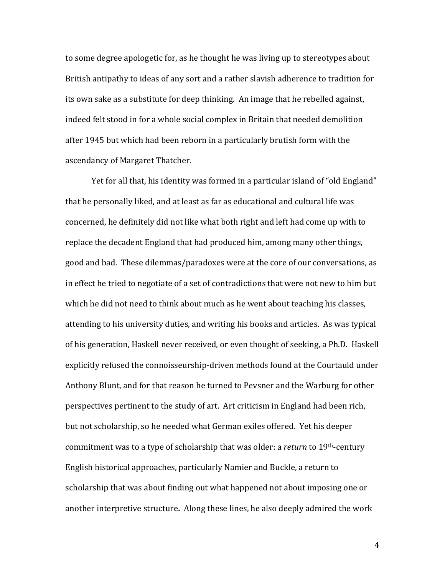to some degree apologetic for, as he thought he was living up to stereotypes about British antipathy to ideas of any sort and a rather slavish adherence to tradition for its own sake as a substitute for deep thinking. An image that he rebelled against, indeed felt stood in for a whole social complex in Britain that needed demolition after 1945 but which had been reborn in a particularly brutish form with the ascendancy of Margaret Thatcher.

Yet for all that, his identity was formed in a particular island of "old England" that he personally liked, and at least as far as educational and cultural life was concerned, he definitely did not like what both right and left had come up with to replace the decadent England that had produced him, among many other things, good and bad. These dilemmas/paradoxes were at the core of our conversations, as in effect he tried to negotiate of a set of contradictions that were not new to him but which he did not need to think about much as he went about teaching his classes, attending to his university duties, and writing his books and articles. As was typical of his generation, Haskell never received, or even thought of seeking, a Ph.D. Haskell explicitly refused the connoisseurship-driven methods found at the Courtauld under Anthony Blunt, and for that reason he turned to Pevsner and the Warburg for other perspectives pertinent to the study of art. Art criticism in England had been rich, but not scholarship, so he needed what German exiles offered. Yet his deeper commitment was to a type of scholarship that was older: a *return* to 19<sup>th</sup>-century English historical approaches, particularly Namier and Buckle, a return to scholarship that was about finding out what happened not about imposing one or another interpretive structure. Along these lines, he also deeply admired the work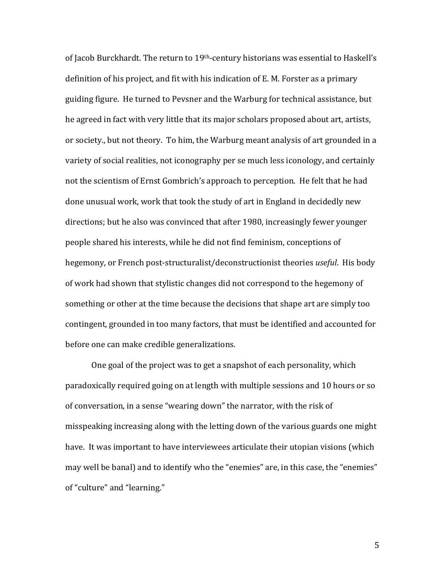of Jacob Burckhardt. The return to 19<sup>th</sup>-century historians was essential to Haskell's definition of his project, and fit with his indication of E. M. Forster as a primary guiding figure. He turned to Pevsner and the Warburg for technical assistance, but he agreed in fact with very little that its major scholars proposed about art, artists, or society., but not theory. To him, the Warburg meant analysis of art grounded in a variety of social realities, not iconography per se much less iconology, and certainly not the scientism of Ernst Gombrich's approach to perception. He felt that he had done unusual work, work that took the study of art in England in decidedly new directions; but he also was convinced that after 1980, increasingly fewer younger people shared his interests, while he did not find feminism, conceptions of hegemony, or French post-structuralist/deconstructionist theories *useful*. His body of work had shown that stylistic changes did not correspond to the hegemony of something or other at the time because the decisions that shape art are simply too contingent, grounded in too many factors, that must be identified and accounted for before one can make credible generalizations.

One goal of the project was to get a snapshot of each personality, which paradoxically required going on at length with multiple sessions and 10 hours or so of conversation, in a sense "wearing down" the narrator, with the risk of misspeaking increasing along with the letting down of the various guards one might have. It was important to have interviewees articulate their utopian visions (which may well be banal) and to identify who the "enemies" are, in this case, the "enemies" of "culture" and "learning."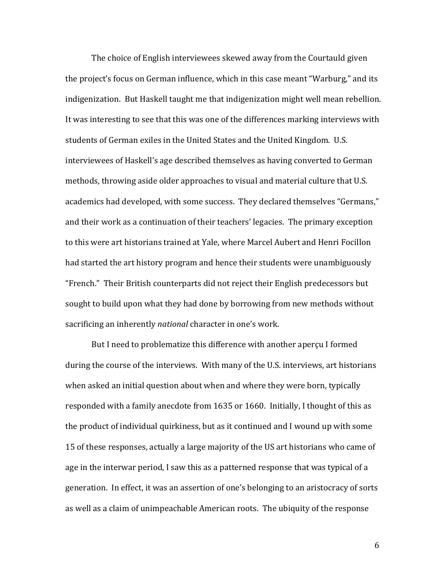The choice of English interviewees skewed away from the Courtauld given the project's focus on German influence, which in this case meant "Warburg," and its indigenization. But Haskell taught me that indigenization might well mean rebellion. It was interesting to see that this was one of the differences marking interviews with students of German exiles in the United States and the United Kingdom. U.S. interviewees of Haskell's age described themselves as having converted to German methods, throwing aside older approaches to visual and material culture that U.S. academics had developed, with some success. They declared themselves "Germans," and their work as a continuation of their teachers' legacies. The primary exception to this were art historians trained at Yale, where Marcel Aubert and Henri Focillon had started the art history program and hence their students were unambiguously "French." Their British counterparts did not reject their English predecessors but sought to build upon what they had done by borrowing from new methods without sacrificing an inherently *national* character in one's work.

But I need to problematize this difference with another aperçu I formed during the course of the interviews. With many of the U.S. interviews, art historians when asked an initial question about when and where they were born, typically responded with a family anecdote from 1635 or 1660. Initially, I thought of this as the product of individual quirkiness, but as it continued and I wound up with some 15 of these responses, actually a large majority of the US art historians who came of age in the interwar period, I saw this as a patterned response that was typical of a generation. In effect, it was an assertion of one's belonging to an aristocracy of sorts as well as a claim of unimpeachable American roots. The ubiquity of the response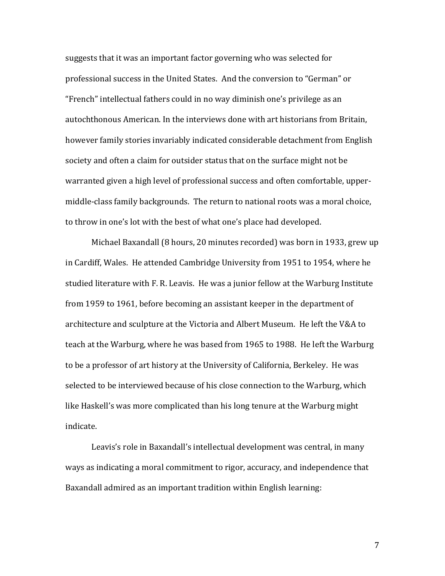suggests that it was an important factor governing who was selected for professional success in the United States. And the conversion to "German" or "French" intellectual fathers could in no way diminish one's privilege as an autochthonous American. In the interviews done with art historians from Britain, however family stories invariably indicated considerable detachment from English society and often a claim for outsider status that on the surface might not be warranted given a high level of professional success and often comfortable, uppermiddle-class family backgrounds. The return to national roots was a moral choice, to throw in one's lot with the best of what one's place had developed.

Michael Baxandall (8 hours, 20 minutes recorded) was born in 1933, grew up in Cardiff, Wales. He attended Cambridge University from 1951 to 1954, where he studied literature with F. R. Leavis. He was a junior fellow at the Warburg Institute from 1959 to 1961, before becoming an assistant keeper in the department of architecture and sculpture at the Victoria and Albert Museum. He left the V&A to teach at the Warburg, where he was based from 1965 to 1988. He left the Warburg to be a professor of art history at the University of California, Berkeley. He was selected to be interviewed because of his close connection to the Warburg, which like Haskell's was more complicated than his long tenure at the Warburg might indicate.

Leavis's role in Baxandall's intellectual development was central, in many ways as indicating a moral commitment to rigor, accuracy, and independence that Baxandall admired as an important tradition within English learning: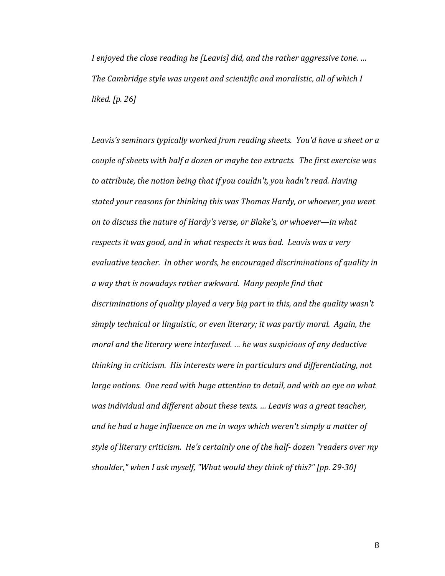*I* enjoyed the close reading he [Leavis] did, and the rather aggressive tone. ... *The Cambridge style was urgent and scientific and moralistic, all of which I liked. [p. 26]*

Leavis's seminars typically worked from reading sheets. You'd have a sheet or a *couple of sheets with half a dozen or maybe ten extracts. The first exercise was* to attribute, the notion being that if you couldn't, you hadn't read. Having stated your reasons for thinking this was Thomas Hardy, or whoever, you went *on to discuss the nature of Hardy's verse, or Blake's, or whoever—in what respects it was good, and in what respects it was bad. Leavis was a very* evaluative teacher. In other words, he encouraged discriminations of quality in a way that is nowadays rather awkward. Many people find that discriminations of quality played a very big part in this, and the quality wasn't simply technical or linguistic, or even literary; it was partly moral. Again, the *moral and the literary were interfused. ... he was suspicious of any deductive thinking in criticism. His interests were in particulars and differentiating, not large notions.* One read with huge attention to detail, and with an eye on what *was individual and different about these texts. ... Leavis was a great teacher,* and he had a huge influence on me in ways which weren't simply a matter of style of literary criticism. He's certainly one of the half- dozen "readers over my *shoulder," when I ask myself, "What would they think of this?" [pp. 29-30]*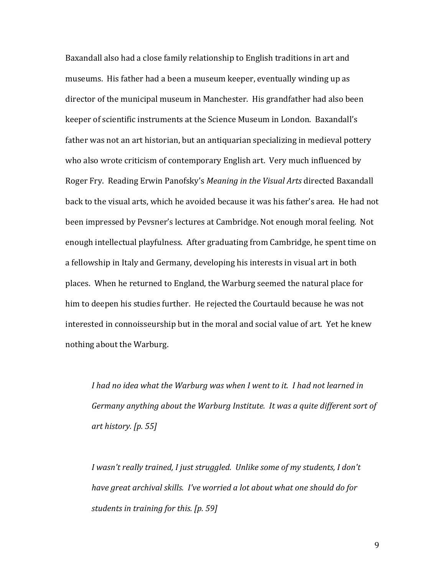Baxandall also had a close family relationship to English traditions in art and museums. His father had a been a museum keeper, eventually winding up as director of the municipal museum in Manchester. His grandfather had also been keeper of scientific instruments at the Science Museum in London. Baxandall's father was not an art historian, but an antiquarian specializing in medieval pottery who also wrote criticism of contemporary English art. Very much influenced by Roger Fry. Reading Erwin Panofsky's *Meaning in the Visual Arts* directed Baxandall back to the visual arts, which he avoided because it was his father's area. He had not been impressed by Pevsner's lectures at Cambridge. Not enough moral feeling. Not enough intellectual playfulness. After graduating from Cambridge, he spent time on a fellowship in Italy and Germany, developing his interests in visual art in both places. When he returned to England, the Warburg seemed the natural place for him to deepen his studies further. He rejected the Courtauld because he was not interested in connoisseurship but in the moral and social value of art. Yet he knew nothing about the Warburg.

I had no idea what the Warburg was when I went to it. I had not learned in *Germany anything about the Warburg Institute. It was a quite different sort of art history. [p. 55]*

*I* wasn't really trained, *I* just struggled. Unlike some of my students, *I* don't have great archival skills. I've worried a lot about what one should do for *students in training for this. [p. 59]*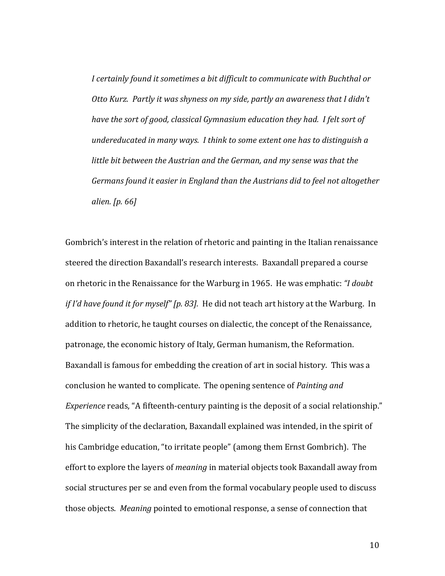*I* certainly found it sometimes a bit difficult to communicate with Buchthal or *Otto Kurz.* Partly it was shyness on my side, partly an awareness that I didn't *have the sort of good, classical Gymnasium education they had. I felt sort of undereducated in many ways. I think to some extent one has to distinguish a little bit between the Austrian and the German, and my sense was that the Germans found it easier in England than the Austrians did to feel not altogether alien. [p. 66]*

Gombrich's interest in the relation of rhetoric and painting in the Italian renaissance steered the direction Baxandall's research interests. Baxandall prepared a course on rhetoric in the Renaissance for the Warburg in 1965. He was emphatic: *"I doubt if* I'd have found it for myself" [p. 83]. He did not teach art history at the Warburg. In addition to rhetoric, he taught courses on dialectic, the concept of the Renaissance, patronage, the economic history of Italy, German humanism, the Reformation. Baxandall is famous for embedding the creation of art in social history. This was a conclusion he wanted to complicate. The opening sentence of *Painting and Experience* reads, "A fifteenth-century painting is the deposit of a social relationship." The simplicity of the declaration, Baxandall explained was intended, in the spirit of his Cambridge education, "to irritate people" (among them Ernst Gombrich). The effort to explore the layers of *meaning* in material objects took Baxandall away from social structures per se and even from the formal vocabulary people used to discuss those objects. *Meaning* pointed to emotional response, a sense of connection that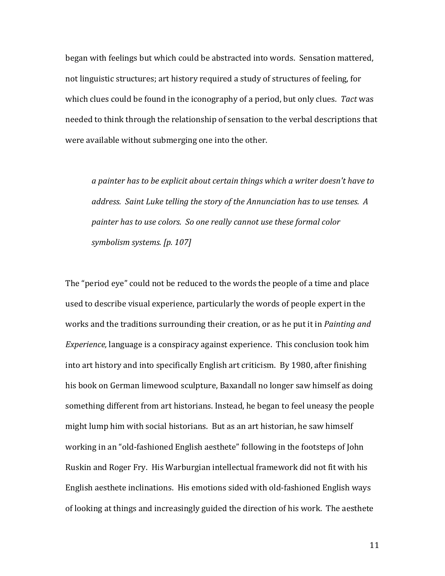began with feelings but which could be abstracted into words. Sensation mattered, not linguistic structures; art history required a study of structures of feeling, for which clues could be found in the iconography of a period, but only clues. Tact was needed to think through the relationship of sensation to the verbal descriptions that were available without submerging one into the other.

*a* painter has to be explicit about certain things which a writer doesn't have to *address.* Saint Luke telling the story of the Annunciation has to use tenses. A *painter has to use colors. So one really cannot use these formal color symbolism systems. [p. 107]*

The "period eye" could not be reduced to the words the people of a time and place used to describe visual experience, particularly the words of people expert in the works and the traditions surrounding their creation, or as he put it in *Painting and Experience*, language is a conspiracy against experience. This conclusion took him into art history and into specifically English art criticism. By 1980, after finishing his book on German limewood sculpture, Baxandall no longer saw himself as doing something different from art historians. Instead, he began to feel uneasy the people might lump him with social historians. But as an art historian, he saw himself working in an "old-fashioned English aesthete" following in the footsteps of John Ruskin and Roger Fry. His Warburgian intellectual framework did not fit with his English aesthete inclinations. His emotions sided with old-fashioned English ways of looking at things and increasingly guided the direction of his work. The aesthete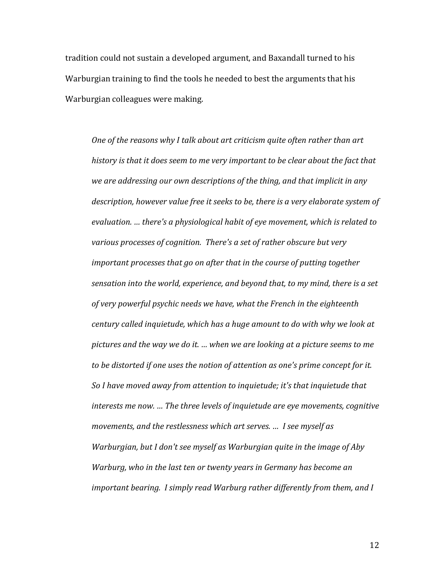tradition could not sustain a developed argument, and Baxandall turned to his Warburgian training to find the tools he needed to best the arguments that his Warburgian colleagues were making.

*One of the reasons why I talk about art criticism quite often rather than art* history is that it does seem to me very important to be clear about the fact that *we are addressing our own descriptions of the thing, and that implicit in any* description, however value free it seeks to be, there is a very elaborate system of evaluation. ... there's a physiological habit of eye movement, which is related to various processes of cognition. There's a set of rather obscure but very *important processes that go on after that in the course of putting together* sensation into the world, experience, and beyond that, to my mind, there is a set of very powerful psychic needs we have, what the French in the eighteenth *century* called inquietude, which has a huge amount to do with why we look at *pictures* and the way we do it. ... when we are looking at a picture seems to me *to be distorted if one uses the notion of attention as one's prime concept for it.* So I have moved away from attention to inquietude; it's that inquietude that *interests* me now. *...* The three levels of inquietude are eye movements, cognitive *movements, and the restlessness which art serves. ... I see myself as Warburgian, but I don't see myself as Warburgian quite in the image of Aby Warburg, who in the last ten or twenty years in Germany has become an important bearing. I simply read Warburg rather differently from them, and I*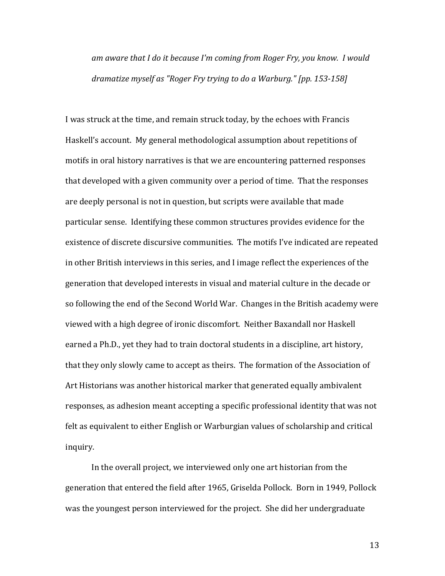*am* aware that I do it because I'm coming from Roger Fry, you know. I would *dramatize myself as "Roger Fry trying to do a Warburg."* [pp. 153-158]

I was struck at the time, and remain struck today, by the echoes with Francis Haskell's account. My general methodological assumption about repetitions of motifs in oral history narratives is that we are encountering patterned responses that developed with a given community over a period of time. That the responses are deeply personal is not in question, but scripts were available that made particular sense. Identifying these common structures provides evidence for the existence of discrete discursive communities. The motifs I've indicated are repeated in other British interviews in this series, and I image reflect the experiences of the generation that developed interests in visual and material culture in the decade or so following the end of the Second World War. Changes in the British academy were viewed with a high degree of ironic discomfort. Neither Baxandall nor Haskell earned a Ph.D., yet they had to train doctoral students in a discipline, art history, that they only slowly came to accept as theirs. The formation of the Association of Art Historians was another historical marker that generated equally ambivalent responses, as adhesion meant accepting a specific professional identity that was not felt as equivalent to either English or Warburgian values of scholarship and critical inquiry.

In the overall project, we interviewed only one art historian from the generation that entered the field after 1965, Griselda Pollock. Born in 1949, Pollock was the youngest person interviewed for the project. She did her undergraduate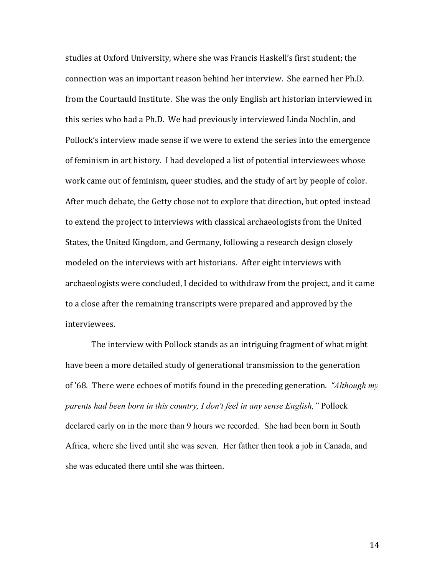studies at Oxford University, where she was Francis Haskell's first student; the connection was an important reason behind her interview. She earned her Ph.D. from the Courtauld Institute. She was the only English art historian interviewed in this series who had a Ph.D. We had previously interviewed Linda Nochlin, and Pollock's interview made sense if we were to extend the series into the emergence of feminism in art history. I had developed a list of potential interviewees whose work came out of feminism, queer studies, and the study of art by people of color. After much debate, the Getty chose not to explore that direction, but opted instead to extend the project to interviews with classical archaeologists from the United States, the United Kingdom, and Germany, following a research design closely modeled on the interviews with art historians. After eight interviews with archaeologists were concluded, I decided to withdraw from the project, and it came to a close after the remaining transcripts were prepared and approved by the interviewees.

The interview with Pollock stands as an intriguing fragment of what might have been a more detailed study of generational transmission to the generation of '68. There were echoes of motifs found in the preceding generation. *"Although my parents had been born in this country, I don't feel in any sense English,"* Pollock declared early on in the more than 9 hours we recorded. She had been born in South Africa, where she lived until she was seven. Her father then took a job in Canada, and she was educated there until she was thirteen.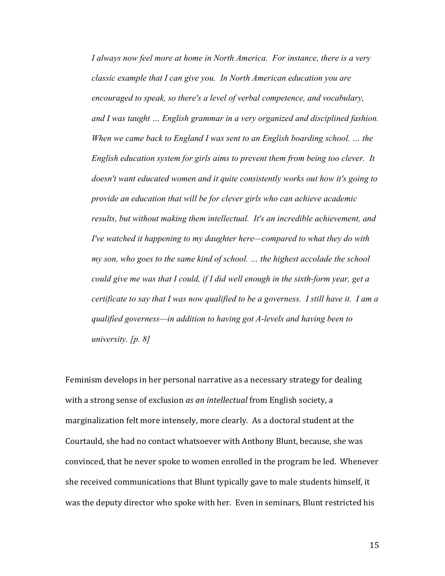*I always now feel more at home in North America. For instance, there is a very classic example that I can give you. In North American education you are encouraged to speak, so there's a level of verbal competence, and vocabulary, and I was taught … English grammar in a very organized and disciplined fashion. When we came back to England I was sent to an English boarding school. … the English education system for girls aims to prevent them from being too clever. It doesn't want educated women and it quite consistently works out how it's going to provide an education that will be for clever girls who can achieve academic results, but without making them intellectual. It's an incredible achievement, and I've watched it happening to my daughter here—compared to what they do with my son, who goes to the same kind of school. … the highest accolade the school could give me was that I could, if I did well enough in the sixth-form year, get a certificate to say that I was now qualified to be a governess. I still have it. I am a qualified governess—in addition to having got A-levels and having been to university. [p. 8]*

Feminism develops in her personal narrative as a necessary strategy for dealing with a strong sense of exclusion *as an intellectual* from English society, a marginalization felt more intensely, more clearly. As a doctoral student at the Courtauld, she had no contact whatsoever with Anthony Blunt, because, she was convinced, that he never spoke to women enrolled in the program he led. Whenever she received communications that Blunt typically gave to male students himself, it was the deputy director who spoke with her. Even in seminars, Blunt restricted his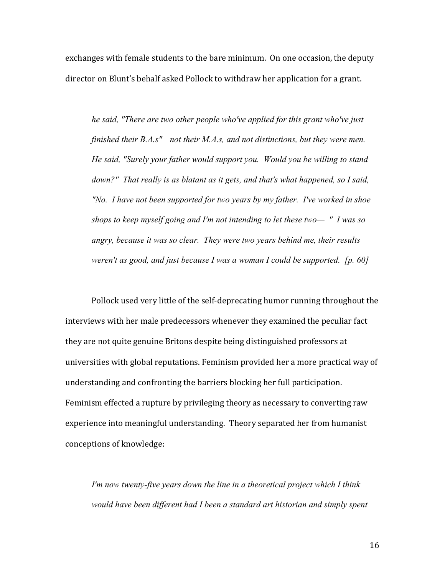exchanges with female students to the bare minimum. On one occasion, the deputy director on Blunt's behalf asked Pollock to withdraw her application for a grant.

*he said, "There are two other people who've applied for this grant who've just finished their B.A.s"—not their M.A.s, and not distinctions, but they were men. He said, "Surely your father would support you. Would you be willing to stand down?" That really is as blatant as it gets, and that's what happened, so I said, "No. I have not been supported for two years by my father. I've worked in shoe shops to keep myself going and I'm not intending to let these two— " I was so angry, because it was so clear. They were two years behind me, their results weren't as good, and just because I was a woman I could be supported. [p. 60]*

Pollock used very little of the self-deprecating humor running throughout the interviews with her male predecessors whenever they examined the peculiar fact they are not quite genuine Britons despite being distinguished professors at universities with global reputations. Feminism provided her a more practical way of understanding and confronting the barriers blocking her full participation. Feminism effected a rupture by privileging theory as necessary to converting raw experience into meaningful understanding. Theory separated her from humanist conceptions of knowledge:

*I'm now twenty-five years down the line in a theoretical project which I think would have been different had I been a standard art historian and simply spent*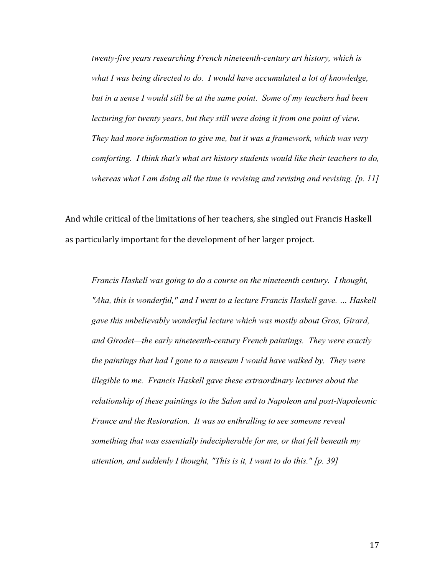*twenty-five years researching French nineteenth-century art history, which is*  what I was being directed to do. I would have accumulated a lot of knowledge, *but in a sense I would still be at the same point. Some of my teachers had been lecturing for twenty years, but they still were doing it from one point of view. They had more information to give me, but it was a framework, which was very comforting. I think that's what art history students would like their teachers to do, whereas what I am doing all the time is revising and revising and revising. [p. 11]*

And while critical of the limitations of her teachers, she singled out Francis Haskell as particularly important for the development of her larger project.

*Francis Haskell was going to do a course on the nineteenth century. I thought, "Aha, this is wonderful," and I went to a lecture Francis Haskell gave. … Haskell gave this unbelievably wonderful lecture which was mostly about Gros, Girard, and Girodet—the early nineteenth-century French paintings. They were exactly the paintings that had I gone to a museum I would have walked by. They were illegible to me. Francis Haskell gave these extraordinary lectures about the relationship of these paintings to the Salon and to Napoleon and post-Napoleonic France and the Restoration. It was so enthralling to see someone reveal something that was essentially indecipherable for me, or that fell beneath my attention, and suddenly I thought, "This is it, I want to do this." [p. 39]*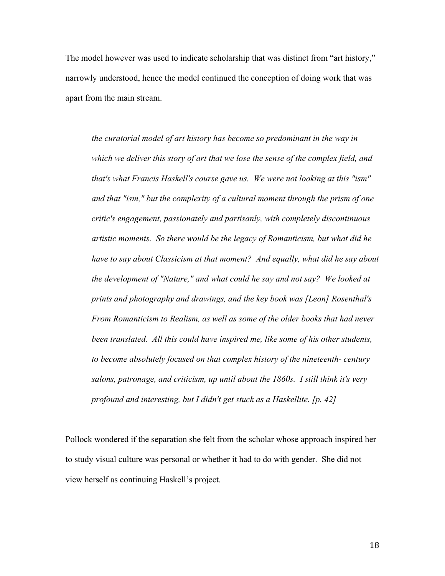The model however was used to indicate scholarship that was distinct from "art history," narrowly understood, hence the model continued the conception of doing work that was apart from the main stream.

*the curatorial model of art history has become so predominant in the way in which we deliver this story of art that we lose the sense of the complex field, and that's what Francis Haskell's course gave us. We were not looking at this "ism" and that "ism," but the complexity of a cultural moment through the prism of one critic's engagement, passionately and partisanly, with completely discontinuous artistic moments. So there would be the legacy of Romanticism, but what did he have to say about Classicism at that moment? And equally, what did he say about the development of "Nature," and what could he say and not say? We looked at prints and photography and drawings, and the key book was [Leon] Rosenthal's From Romanticism to Realism, as well as some of the older books that had never been translated. All this could have inspired me, like some of his other students, to become absolutely focused on that complex history of the nineteenth- century salons, patronage, and criticism, up until about the 1860s. I still think it's very profound and interesting, but I didn't get stuck as a Haskellite. [p. 42]*

Pollock wondered if the separation she felt from the scholar whose approach inspired her to study visual culture was personal or whether it had to do with gender. She did not view herself as continuing Haskell's project.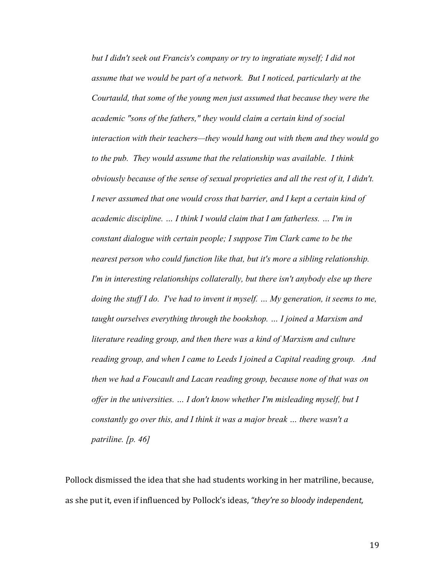*but I didn't seek out Francis's company or try to ingratiate myself; I did not assume that we would be part of a network. But I noticed, particularly at the Courtauld, that some of the young men just assumed that because they were the academic "sons of the fathers," they would claim a certain kind of social interaction with their teachers—they would hang out with them and they would go to the pub. They would assume that the relationship was available. I think obviously because of the sense of sexual proprieties and all the rest of it, I didn't. I never assumed that one would cross that barrier, and I kept a certain kind of academic discipline. … I think I would claim that I am fatherless. … I'm in constant dialogue with certain people; I suppose Tim Clark came to be the nearest person who could function like that, but it's more a sibling relationship. I'm in interesting relationships collaterally, but there isn't anybody else up there doing the stuff I do. I've had to invent it myself. … My generation, it seems to me, taught ourselves everything through the bookshop. … I joined a Marxism and literature reading group, and then there was a kind of Marxism and culture reading group, and when I came to Leeds I joined a Capital reading group. And then we had a Foucault and Lacan reading group, because none of that was on offer in the universities. … I don't know whether I'm misleading myself, but I constantly go over this, and I think it was a major break … there wasn't a patriline. [p. 46]*

Pollock dismissed the idea that she had students working in her matriline, because, as she put it, even if influenced by Pollock's ideas, "they're so bloody independent,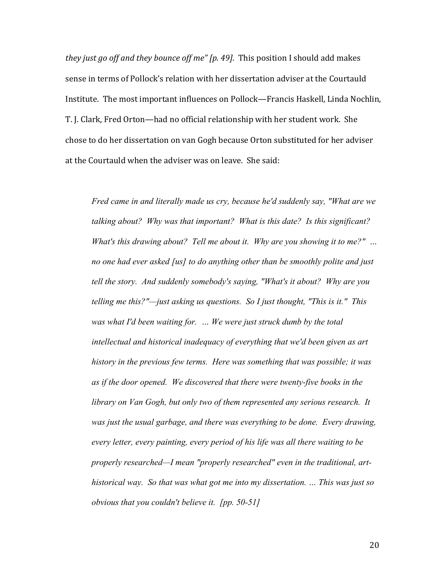*they just go off and they bounce off me" [p. 49]*. This position I should add makes sense in terms of Pollock's relation with her dissertation adviser at the Courtauld Institute. The most important influences on Pollock—Francis Haskell, Linda Nochlin, T. J. Clark, Fred Orton—had no official relationship with her student work. She chose to do her dissertation on van Gogh because Orton substituted for her adviser at the Courtauld when the adviser was on leave. She said:

*Fred came in and literally made us cry, because he'd suddenly say, "What are we talking about? Why was that important? What is this date? Is this significant? What's this drawing about? Tell me about it. Why are you showing it to me?" … no one had ever asked [us] to do anything other than be smoothly polite and just tell the story. And suddenly somebody's saying, "What's it about? Why are you telling me this?"—just asking us questions. So I just thought, "This is it." This was what I'd been waiting for. … We were just struck dumb by the total intellectual and historical inadequacy of everything that we'd been given as art history in the previous few terms. Here was something that was possible; it was as if the door opened. We discovered that there were twenty-five books in the library on Van Gogh, but only two of them represented any serious research. It was just the usual garbage, and there was everything to be done. Every drawing, every letter, every painting, every period of his life was all there waiting to be properly researched—I mean "properly researched" even in the traditional, arthistorical way. So that was what got me into my dissertation. … This was just so obvious that you couldn't believe it. [pp. 50-51]*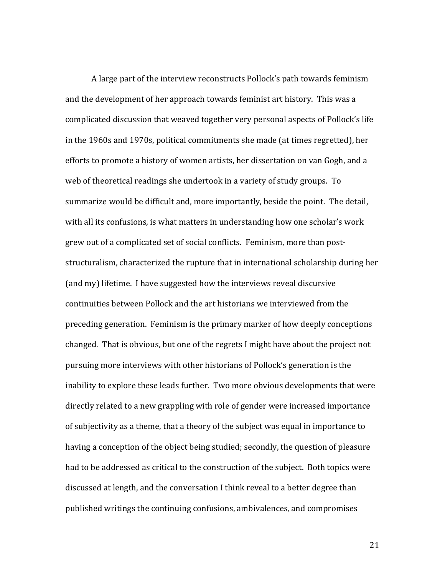A large part of the interview reconstructs Pollock's path towards feminism and the development of her approach towards feminist art history. This was a complicated discussion that weaved together very personal aspects of Pollock's life in the 1960s and 1970s, political commitments she made (at times regretted), her efforts to promote a history of women artists, her dissertation on van Gogh, and a web of theoretical readings she undertook in a variety of study groups. To summarize would be difficult and, more importantly, beside the point. The detail, with all its confusions, is what matters in understanding how one scholar's work grew out of a complicated set of social conflicts. Feminism, more than poststructuralism, characterized the rupture that in international scholarship during her (and my) lifetime. I have suggested how the interviews reveal discursive continuities between Pollock and the art historians we interviewed from the preceding generation. Feminism is the primary marker of how deeply conceptions changed. That is obvious, but one of the regrets I might have about the project not pursuing more interviews with other historians of Pollock's generation is the inability to explore these leads further. Two more obvious developments that were directly related to a new grappling with role of gender were increased importance of subjectivity as a theme, that a theory of the subject was equal in importance to having a conception of the object being studied; secondly, the question of pleasure had to be addressed as critical to the construction of the subject. Both topics were discussed at length, and the conversation I think reveal to a better degree than published writings the continuing confusions, ambivalences, and compromises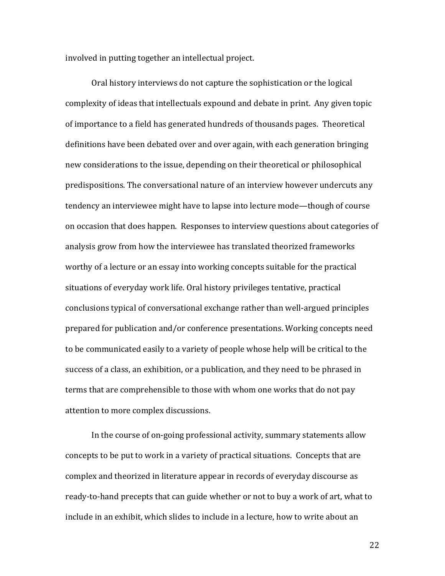involved in putting together an intellectual project.

Oral history interviews do not capture the sophistication or the logical complexity of ideas that intellectuals expound and debate in print. Any given topic of importance to a field has generated hundreds of thousands pages. Theoretical definitions have been debated over and over again, with each generation bringing new considerations to the issue, depending on their theoretical or philosophical predispositions. The conversational nature of an interview however undercuts any tendency an interviewee might have to lapse into lecture mode—though of course on occasion that does happen. Responses to interview questions about categories of analysis grow from how the interviewee has translated theorized frameworks worthy of a lecture or an essay into working concepts suitable for the practical situations of everyday work life. Oral history privileges tentative, practical conclusions typical of conversational exchange rather than well-argued principles prepared for publication and/or conference presentations. Working concepts need to be communicated easily to a variety of people whose help will be critical to the success of a class, an exhibition, or a publication, and they need to be phrased in terms that are comprehensible to those with whom one works that do not pay attention to more complex discussions.

In the course of on-going professional activity, summary statements allow concepts to be put to work in a variety of practical situations. Concepts that are complex and theorized in literature appear in records of everyday discourse as ready-to-hand precepts that can guide whether or not to buy a work of art, what to include in an exhibit, which slides to include in a lecture, how to write about an